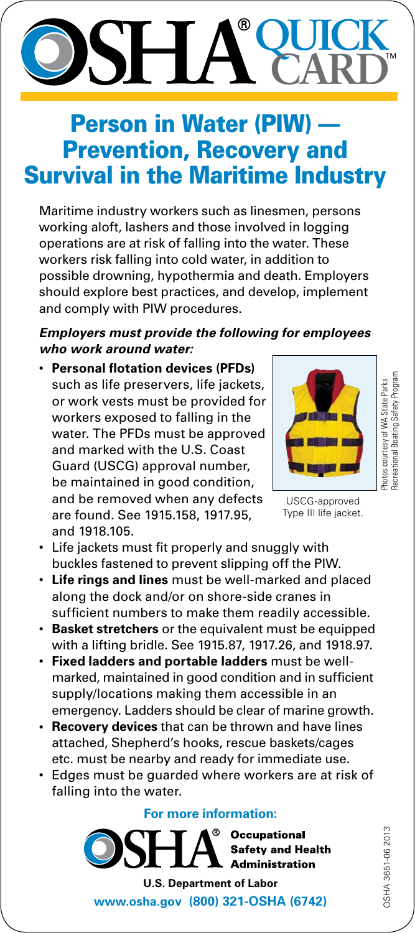# **QUICK** ® **CARD**

## **Person in Water (PIW)** Prevention, Recovery and Survival in the Maritime Industry

Maritime industry workers such as linesmen, persons working aloft, lashers and those involved in logging operations are at risk of falling into the water. These workers risk falling into cold water, in addition to possible drowning, hypothermia and death. Employers should explore best practices, and develop, implement and comply with PIW procedures.

### *Employers must provide the following for employees who work around water:*

• **Personal flotation devices (PFDs)** such as life preservers, life jackets, or work vests must be provided for workers exposed to falling in the water. The PFDs must be approved and marked with the U.S. Coast Guard (USCG) approval number, be maintained in good condition, and be removed when any defects are found. See [1915.158](http://www.osha.gov/pls/oshaweb/owadisp.show_document?p_table=STANDARDS&p_id=10274), [1917.95](http://www.osha.gov/pls/oshaweb/owadisp.show_document?p_table=STANDARDS&p_id=10396), and [1918.105.](http://www.osha.gov/pls/oshaweb/owadisp.show_document?p_table=STANDARDS&p_id=10494)



Recreational Boating Safety Programecreational Boating Safety Progran Photos courtesy of WA State Parks Photos courtesy of WA State Parks

USCG-approved Type III life jacket.

- Life jackets must fit properly and snuggly with buckles fastened to prevent slipping off the PIW.
- • **Life rings and lines** must be well-marked and placed along the dock and/or on shore-side cranes in sufficient numbers to make them readily accessible.
- • **Basket stretchers** or the equivalent must be equipped with a lifting bridle. See [1915.87,](http://www.osha.gov/pls/oshaweb/owadisp.show_document?p_table=STANDARDS&p_id=208) [1917.26,](http://www.osha.gov/pls/oshaweb/owadisp.show_document?p_table=STANDARDS&p_id=10368) and [1918.97](http://www.osha.gov/pls/oshaweb/owadisp.show_document?p_table=STANDARDS&p_id=10486).
- • **Fixed ladders and portable ladders** must be wellmarked, maintained in good condition and in sufficient supply/locations making them accessible in an emergency. Ladders should be clear of marine growth.
- **• Recovery devices** that can be thrown and have lines attached, Shepherd's hooks, rescue baskets/cages etc. must be nearby and ready for immediate use.
- • Edges must be guarded where workers are at risk of falling into the water.

#### **For more information:**

**Occupational Safety and Health Administration** 

**U.S. Department of Labor <www.osha.gov> (800) 321-OSHA (6742)**

DSHA 3651-06 2013 OSHA 3651-06 2013